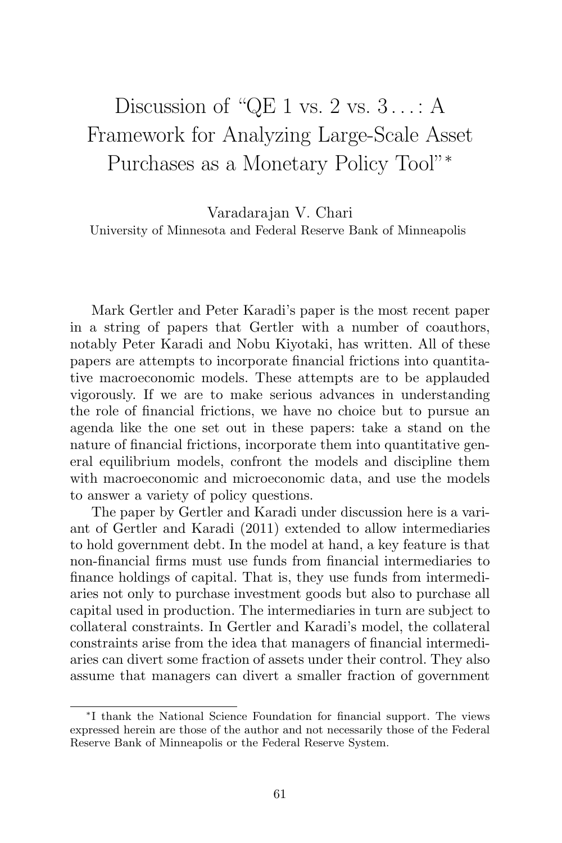## Discussion of "QE 1 vs.  $2 \text{ vs. } 3 \ldots$ : A Framework for Analyzing Large-Scale Asset Purchases as a Monetary Policy Tool"<sup>∗</sup>

Varadarajan V. Chari University of Minnesota and Federal Reserve Bank of Minneapolis

Mark Gertler and Peter Karadi's paper is the most recent paper in a string of papers that Gertler with a number of coauthors, notably Peter Karadi and Nobu Kiyotaki, has written. All of these papers are attempts to incorporate financial frictions into quantitative macroeconomic models. These attempts are to be applauded vigorously. If we are to make serious advances in understanding the role of financial frictions, we have no choice but to pursue an agenda like the one set out in these papers: take a stand on the nature of financial frictions, incorporate them into quantitative general equilibrium models, confront the models and discipline them with macroeconomic and microeconomic data, and use the models to answer a variety of policy questions.

The paper by Gertler and Karadi under discussion here is a variant of Gertler and Karadi (2011) extended to allow intermediaries to hold government debt. In the model at hand, a key feature is that non-financial firms must use funds from financial intermediaries to finance holdings of capital. That is, they use funds from intermediaries not only to purchase investment goods but also to purchase all capital used in production. The intermediaries in turn are subject to collateral constraints. In Gertler and Karadi's model, the collateral constraints arise from the idea that managers of financial intermediaries can divert some fraction of assets under their control. They also assume that managers can divert a smaller fraction of government

<sup>∗</sup>I thank the National Science Foundation for financial support. The views expressed herein are those of the author and not necessarily those of the Federal Reserve Bank of Minneapolis or the Federal Reserve System.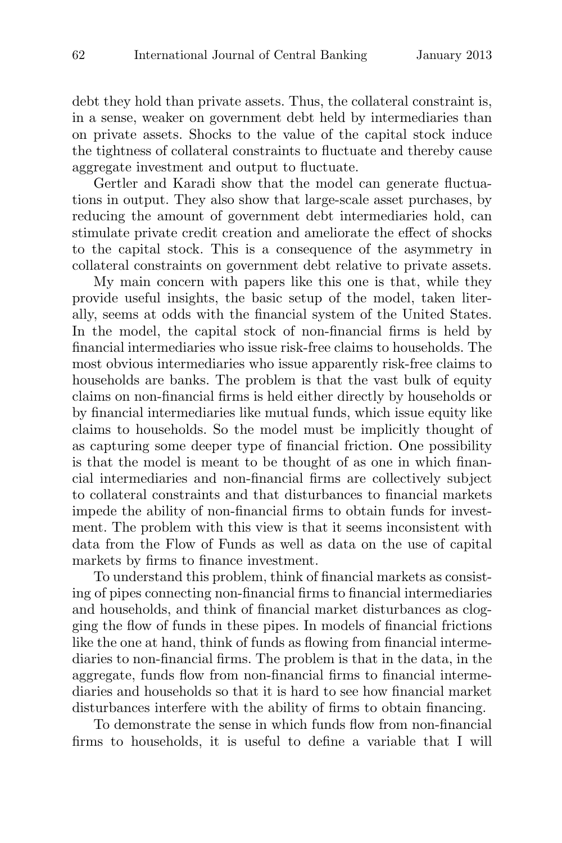debt they hold than private assets. Thus, the collateral constraint is, in a sense, weaker on government debt held by intermediaries than on private assets. Shocks to the value of the capital stock induce the tightness of collateral constraints to fluctuate and thereby cause aggregate investment and output to fluctuate.

Gertler and Karadi show that the model can generate fluctuations in output. They also show that large-scale asset purchases, by reducing the amount of government debt intermediaries hold, can stimulate private credit creation and ameliorate the effect of shocks to the capital stock. This is a consequence of the asymmetry in collateral constraints on government debt relative to private assets.

My main concern with papers like this one is that, while they provide useful insights, the basic setup of the model, taken literally, seems at odds with the financial system of the United States. In the model, the capital stock of non-financial firms is held by financial intermediaries who issue risk-free claims to households. The most obvious intermediaries who issue apparently risk-free claims to households are banks. The problem is that the vast bulk of equity claims on non-financial firms is held either directly by households or by financial intermediaries like mutual funds, which issue equity like claims to households. So the model must be implicitly thought of as capturing some deeper type of financial friction. One possibility is that the model is meant to be thought of as one in which financial intermediaries and non-financial firms are collectively subject to collateral constraints and that disturbances to financial markets impede the ability of non-financial firms to obtain funds for investment. The problem with this view is that it seems inconsistent with data from the Flow of Funds as well as data on the use of capital markets by firms to finance investment.

To understand this problem, think of financial markets as consisting of pipes connecting non-financial firms to financial intermediaries and households, and think of financial market disturbances as clogging the flow of funds in these pipes. In models of financial frictions like the one at hand, think of funds as flowing from financial intermediaries to non-financial firms. The problem is that in the data, in the aggregate, funds flow from non-financial firms to financial intermediaries and households so that it is hard to see how financial market disturbances interfere with the ability of firms to obtain financing.

To demonstrate the sense in which funds flow from non-financial firms to households, it is useful to define a variable that I will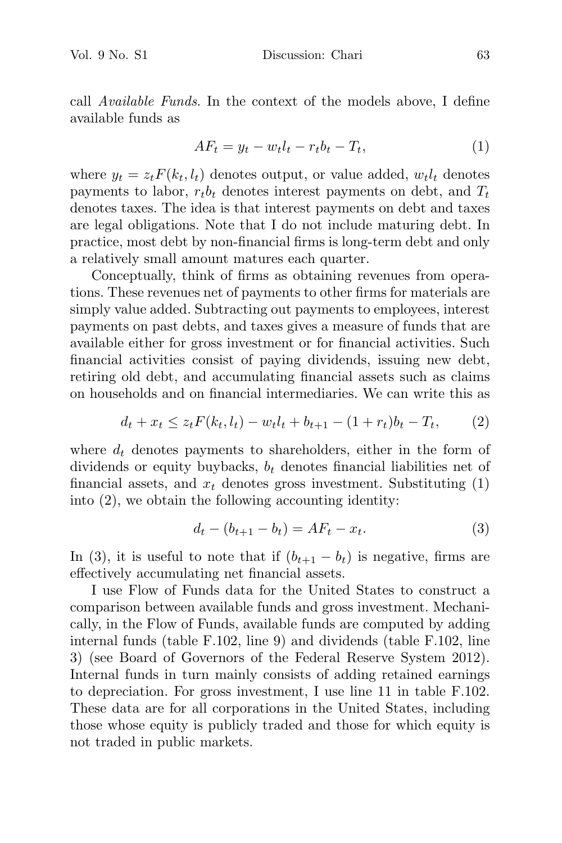call Available Funds. In the context of the models above, I define available funds as

$$
AF_t = y_t - w_t l_t - r_t b_t - T_t, \tag{1}
$$

where  $y_t = z_t F(k_t, l_t)$  denotes output, or value added,  $w_t l_t$  denotes payments to labor,  $r_t b_t$  denotes interest payments on debt, and  $T_t$ denotes taxes. The idea is that interest payments on debt and taxes are legal obligations. Note that I do not include maturing debt. In practice, most debt by non-financial firms is long-term debt and only a relatively small amount matures each quarter.

Conceptually, think of firms as obtaining revenues from operations. These revenues net of payments to other firms for materials are simply value added. Subtracting out payments to employees, interest payments on past debts, and taxes gives a measure of funds that are available either for gross investment or for financial activities. Such financial activities consist of paying dividends, issuing new debt, retiring old debt, and accumulating financial assets such as claims on households and on financial intermediaries. We can write this as

$$
d_t + x_t \le z_t F(k_t, l_t) - w_t l_t + b_{t+1} - (1 + r_t) b_t - T_t, \qquad (2)
$$

where  $d_t$  denotes payments to shareholders, either in the form of dividends or equity buybacks,  $b_t$  denotes financial liabilities net of financial assets, and  $x_t$  denotes gross investment. Substituting  $(1)$ into (2), we obtain the following accounting identity:

$$
d_t - (b_{t+1} - b_t) = AF_t - x_t.
$$
\n(3)

In (3), it is useful to note that if  $(b_{t+1} - b_t)$  is negative, firms are effectively accumulating net financial assets.

I use Flow of Funds data for the United States to construct a comparison between available funds and gross investment. Mechanically, in the Flow of Funds, available funds are computed by adding internal funds (table F.102, line 9) and dividends (table F.102, line 3) (see Board of Governors of the Federal Reserve System 2012). Internal funds in turn mainly consists of adding retained earnings to depreciation. For gross investment, I use line 11 in table F.102. These data are for all corporations in the United States, including those whose equity is publicly traded and those for which equity is not traded in public markets.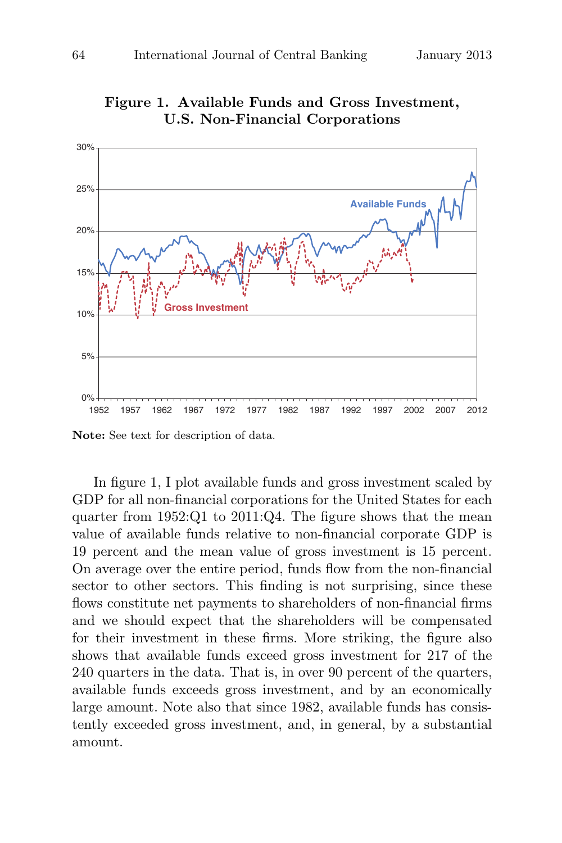

**Figure 1. Available Funds and Gross Investment, U.S. Non-Financial Corporations**

**Note:** See text for description of data.

In figure 1, I plot available funds and gross investment scaled by GDP for all non-financial corporations for the United States for each quarter from 1952:Q1 to 2011:Q4. The figure shows that the mean value of available funds relative to non-financial corporate GDP is 19 percent and the mean value of gross investment is 15 percent. On average over the entire period, funds flow from the non-financial sector to other sectors. This finding is not surprising, since these flows constitute net payments to shareholders of non-financial firms and we should expect that the shareholders will be compensated for their investment in these firms. More striking, the figure also shows that available funds exceed gross investment for 217 of the 240 quarters in the data. That is, in over 90 percent of the quarters, available funds exceeds gross investment, and by an economically large amount. Note also that since 1982, available funds has consistently exceeded gross investment, and, in general, by a substantial amount.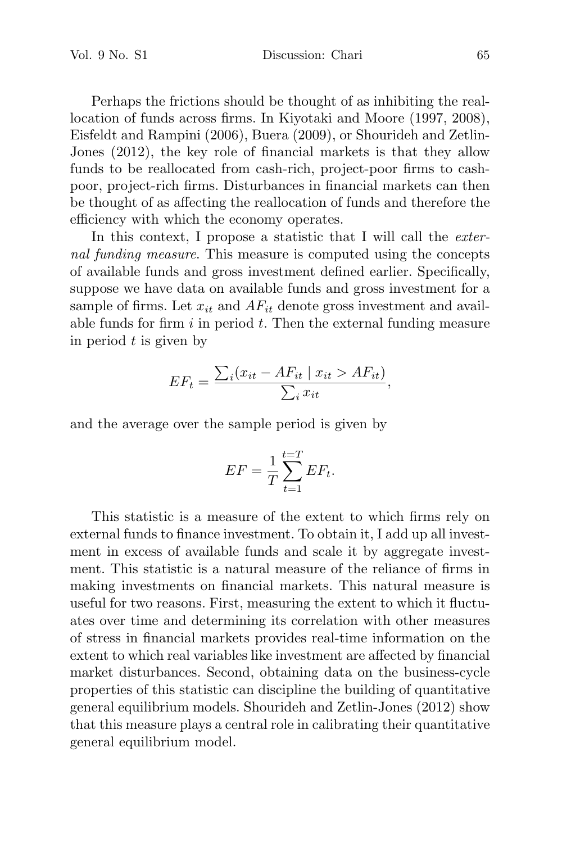Vol. 9 No. S1 Discussion: Chari 65

Perhaps the frictions should be thought of as inhibiting the reallocation of funds across firms. In Kiyotaki and Moore (1997, 2008), Eisfeldt and Rampini (2006), Buera (2009), or Shourideh and Zetlin-Jones (2012), the key role of financial markets is that they allow funds to be reallocated from cash-rich, project-poor firms to cashpoor, project-rich firms. Disturbances in financial markets can then be thought of as affecting the reallocation of funds and therefore the efficiency with which the economy operates.

In this context, I propose a statistic that I will call the *exter*nal funding measure. This measure is computed using the concepts of available funds and gross investment defined earlier. Specifically, suppose we have data on available funds and gross investment for a sample of firms. Let  $x_{it}$  and  $AF_{it}$  denote gross investment and available funds for firm  $i$  in period  $t$ . Then the external funding measure in period  $t$  is given by

$$
EF_t = \frac{\sum_i (x_{it} - AF_{it} \mid x_{it} > AF_{it})}{\sum_i x_{it}},
$$

and the average over the sample period is given by

$$
EF = \frac{1}{T} \sum_{t=1}^{t=T} EF_t.
$$

This statistic is a measure of the extent to which firms rely on external funds to finance investment. To obtain it, I add up all investment in excess of available funds and scale it by aggregate investment. This statistic is a natural measure of the reliance of firms in making investments on financial markets. This natural measure is useful for two reasons. First, measuring the extent to which it fluctuates over time and determining its correlation with other measures of stress in financial markets provides real-time information on the extent to which real variables like investment are affected by financial market disturbances. Second, obtaining data on the business-cycle properties of this statistic can discipline the building of quantitative general equilibrium models. Shourideh and Zetlin-Jones (2012) show that this measure plays a central role in calibrating their quantitative general equilibrium model.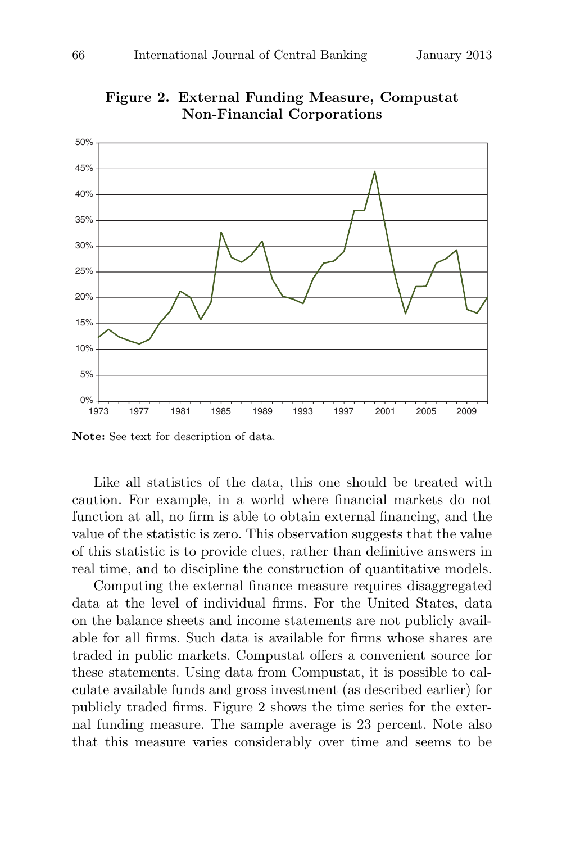

**Figure 2. External Funding Measure, Compustat Non-Financial Corporations**

**Note:** See text for description of data.

Like all statistics of the data, this one should be treated with caution. For example, in a world where financial markets do not function at all, no firm is able to obtain external financing, and the value of the statistic is zero. This observation suggests that the value of this statistic is to provide clues, rather than definitive answers in real time, and to discipline the construction of quantitative models.

Computing the external finance measure requires disaggregated data at the level of individual firms. For the United States, data on the balance sheets and income statements are not publicly available for all firms. Such data is available for firms whose shares are traded in public markets. Compustat offers a convenient source for these statements. Using data from Compustat, it is possible to calculate available funds and gross investment (as described earlier) for publicly traded firms. Figure 2 shows the time series for the external funding measure. The sample average is 23 percent. Note also that this measure varies considerably over time and seems to be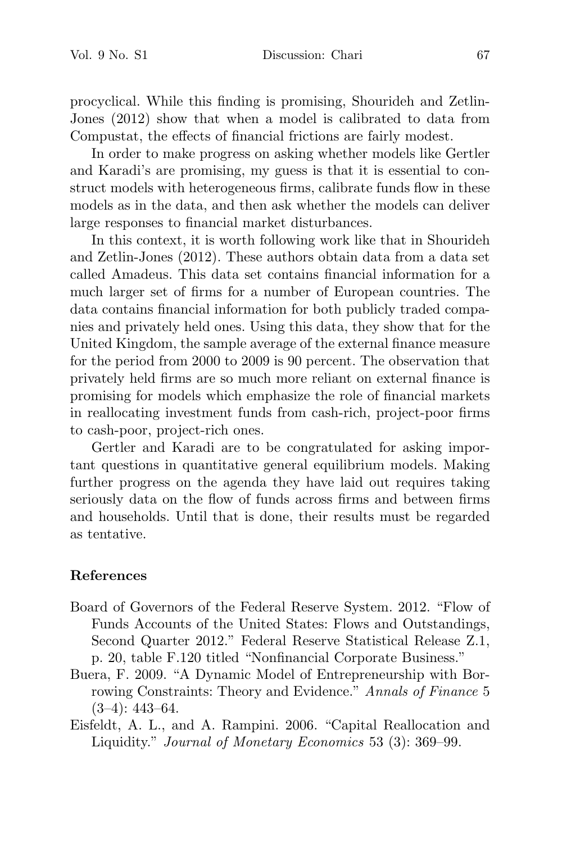procyclical. While this finding is promising, Shourideh and Zetlin-Jones (2012) show that when a model is calibrated to data from Compustat, the effects of financial frictions are fairly modest.

In order to make progress on asking whether models like Gertler and Karadi's are promising, my guess is that it is essential to construct models with heterogeneous firms, calibrate funds flow in these models as in the data, and then ask whether the models can deliver large responses to financial market disturbances.

In this context, it is worth following work like that in Shourideh and Zetlin-Jones (2012). These authors obtain data from a data set called Amadeus. This data set contains financial information for a much larger set of firms for a number of European countries. The data contains financial information for both publicly traded companies and privately held ones. Using this data, they show that for the United Kingdom, the sample average of the external finance measure for the period from 2000 to 2009 is 90 percent. The observation that privately held firms are so much more reliant on external finance is promising for models which emphasize the role of financial markets in reallocating investment funds from cash-rich, project-poor firms to cash-poor, project-rich ones.

Gertler and Karadi are to be congratulated for asking important questions in quantitative general equilibrium models. Making further progress on the agenda they have laid out requires taking seriously data on the flow of funds across firms and between firms and households. Until that is done, their results must be regarded as tentative.

## **References**

- Board of Governors of the Federal Reserve System. 2012. "Flow of Funds Accounts of the United States: Flows and Outstandings, Second Quarter 2012." Federal Reserve Statistical Release Z.1, p. 20, table F.120 titled "Nonfinancial Corporate Business."
- Buera, F. 2009. "A Dynamic Model of Entrepreneurship with Borrowing Constraints: Theory and Evidence." Annals of Finance 5  $(3-4): 443-64.$
- Eisfeldt, A. L., and A. Rampini. 2006. "Capital Reallocation and Liquidity." Journal of Monetary Economics 53 (3): 369–99.